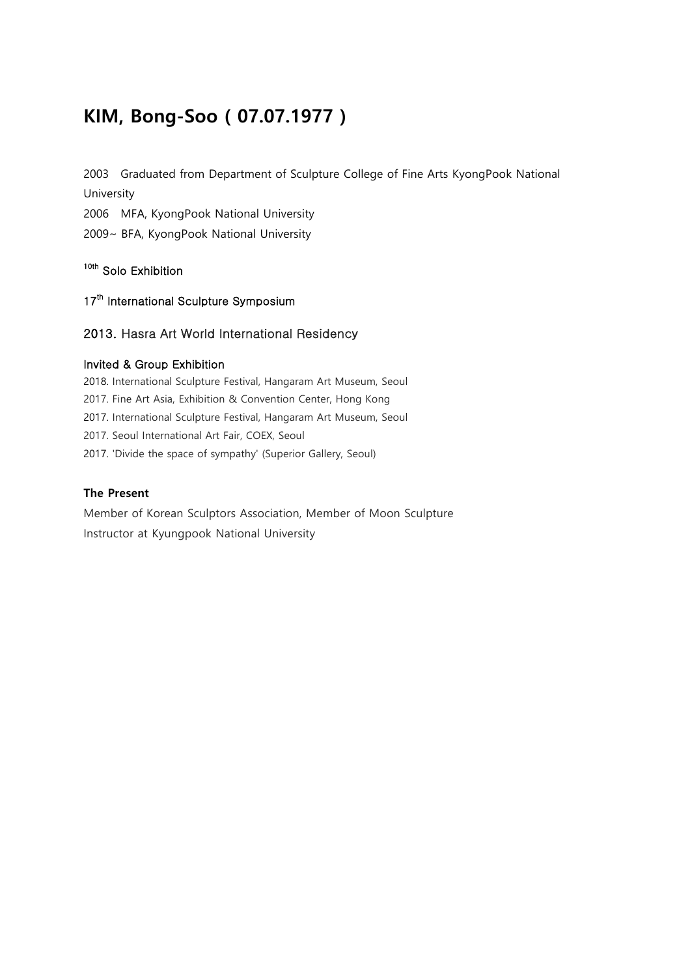## **KIM, Bong-Soo ( 07.07.1977 )**

2003 Graduated from Department of Sculpture College of Fine Arts KyongPook National University

2006 MFA, KyongPook National University

2009~ BFA, KyongPook National University

### 10th Solo Exhibition

17<sup>th</sup> International Sculpture Symposium

#### 2013. Hasra Art World International Residency

#### Invited & Group Exhibition

2018. International Sculpture Festival, Hangaram Art Museum, Seoul 2017. Fine Art Asia, Exhibition & Convention Center, Hong Kong 2017. International Sculpture Festival, Hangaram Art Museum, Seoul 2017. Seoul International Art Fair, COEX, Seoul 2017. 'Divide the space of sympathy' (Superior Gallery, Seoul)

#### **The Present**

Member of Korean Sculptors Association, Member of Moon Sculpture Instructor at Kyungpook National University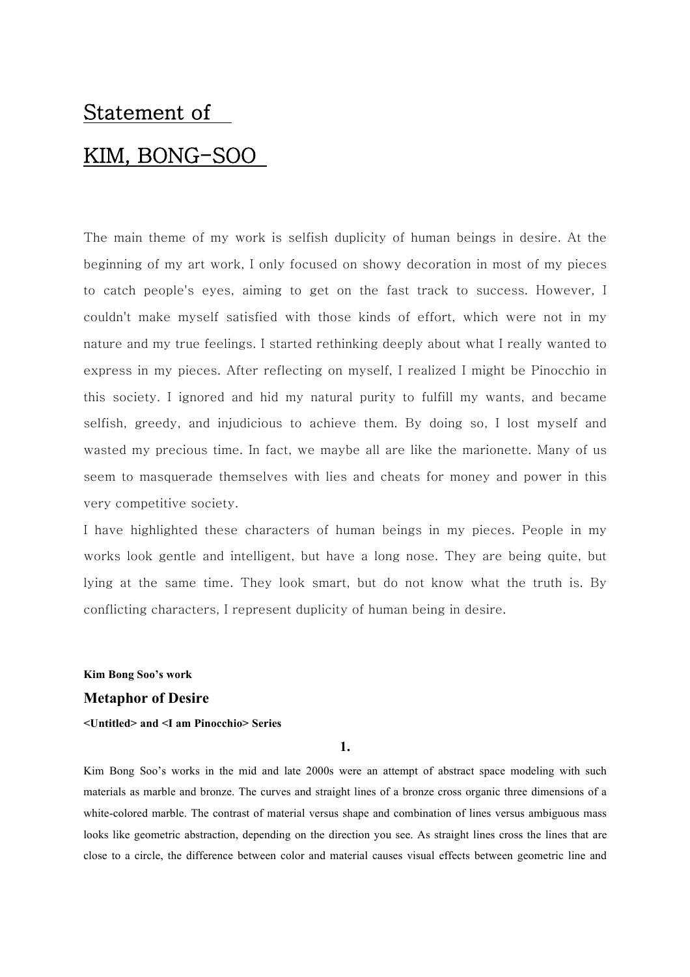# Statement of KIM, BONG-SOO

The main theme of my work is selfish duplicity of human beings in desire. At the beginning of my art work, I only focused on showy decoration in most of my pieces to catch people's eyes, aiming to get on the fast track to success. However, I couldn't make myself satisfied with those kinds of effort, which were not in my nature and my true feelings. I started rethinking deeply about what I really wanted to express in my pieces. After reflecting on myself, I realized I might be Pinocchio in this society. I ignored and hid my natural purity to fulfill my wants, and became selfish, greedy, and injudicious to achieve them. By doing so, I lost myself and wasted my precious time. In fact, we maybe all are like the marionette. Many of us seem to masquerade themselves with lies and cheats for money and power in this very competitive society.

I have highlighted these characters of human beings in my pieces. People in my works look gentle and intelligent, but have a long nose. They are being quite, but lying at the same time. They look smart, but do not know what the truth is. By conflicting characters, I represent duplicity of human being in desire.

**Kim Bong Soo's work**

#### **Metaphor of Desire**

#### **<Untitled> and <I am Pinocchio> Series**

**1.**

Kim Bong Soo's works in the mid and late 2000s were an attempt of abstract space modeling with such materials as marble and bronze. The curves and straight lines of a bronze cross organic three dimensions of a white-colored marble. The contrast of material versus shape and combination of lines versus ambiguous mass looks like geometric abstraction, depending on the direction you see. As straight lines cross the lines that are close to a circle, the difference between color and material causes visual effects between geometric line and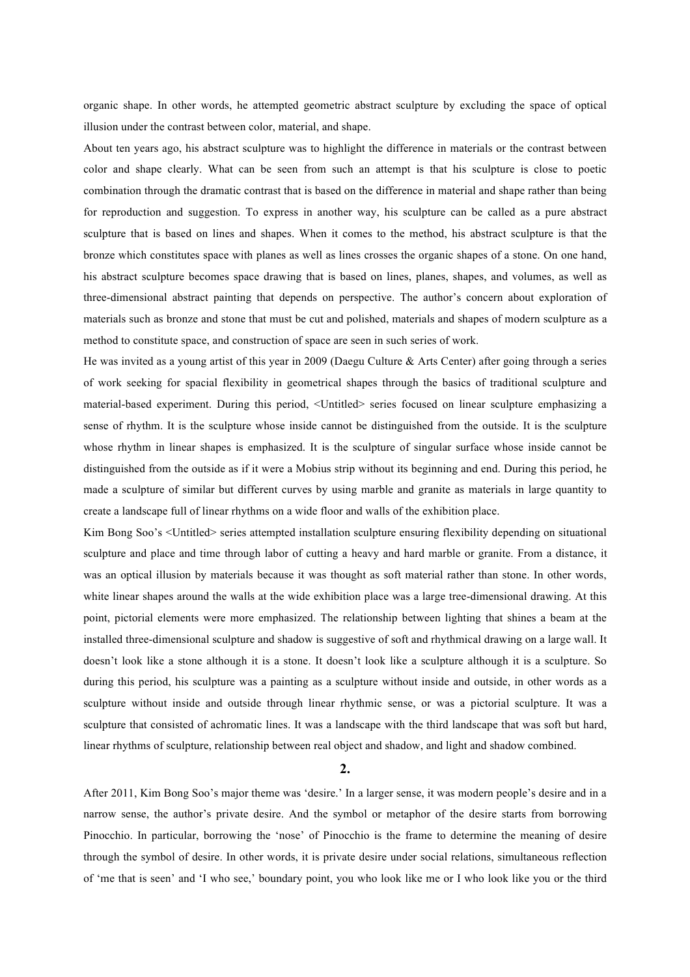organic shape. In other words, he attempted geometric abstract sculpture by excluding the space of optical illusion under the contrast between color, material, and shape.

About ten years ago, his abstract sculpture was to highlight the difference in materials or the contrast between color and shape clearly. What can be seen from such an attempt is that his sculpture is close to poetic combination through the dramatic contrast that is based on the difference in material and shape rather than being for reproduction and suggestion. To express in another way, his sculpture can be called as a pure abstract sculpture that is based on lines and shapes. When it comes to the method, his abstract sculpture is that the bronze which constitutes space with planes as well as lines crosses the organic shapes of a stone. On one hand, his abstract sculpture becomes space drawing that is based on lines, planes, shapes, and volumes, as well as three-dimensional abstract painting that depends on perspective. The author's concern about exploration of materials such as bronze and stone that must be cut and polished, materials and shapes of modern sculpture as a method to constitute space, and construction of space are seen in such series of work.

He was invited as a young artist of this year in 2009 (Daegu Culture & Arts Center) after going through a series of work seeking for spacial flexibility in geometrical shapes through the basics of traditional sculpture and material-based experiment. During this period, <Untitled> series focused on linear sculpture emphasizing a sense of rhythm. It is the sculpture whose inside cannot be distinguished from the outside. It is the sculpture whose rhythm in linear shapes is emphasized. It is the sculpture of singular surface whose inside cannot be distinguished from the outside as if it were a Mobius strip without its beginning and end. During this period, he made a sculpture of similar but different curves by using marble and granite as materials in large quantity to create a landscape full of linear rhythms on a wide floor and walls of the exhibition place.

Kim Bong Soo's <Untitled> series attempted installation sculpture ensuring flexibility depending on situational sculpture and place and time through labor of cutting a heavy and hard marble or granite. From a distance, it was an optical illusion by materials because it was thought as soft material rather than stone. In other words, white linear shapes around the walls at the wide exhibition place was a large tree-dimensional drawing. At this point, pictorial elements were more emphasized. The relationship between lighting that shines a beam at the installed three-dimensional sculpture and shadow is suggestive of soft and rhythmical drawing on a large wall. It doesn't look like a stone although it is a stone. It doesn't look like a sculpture although it is a sculpture. So during this period, his sculpture was a painting as a sculpture without inside and outside, in other words as a sculpture without inside and outside through linear rhythmic sense, or was a pictorial sculpture. It was a sculpture that consisted of achromatic lines. It was a landscape with the third landscape that was soft but hard, linear rhythms of sculpture, relationship between real object and shadow, and light and shadow combined.

**2.**

After 2011, Kim Bong Soo's major theme was 'desire.' In a larger sense, it was modern people's desire and in a narrow sense, the author's private desire. And the symbol or metaphor of the desire starts from borrowing Pinocchio. In particular, borrowing the 'nose' of Pinocchio is the frame to determine the meaning of desire through the symbol of desire. In other words, it is private desire under social relations, simultaneous reflection of 'me that is seen' and 'I who see,' boundary point, you who look like me or I who look like you or the third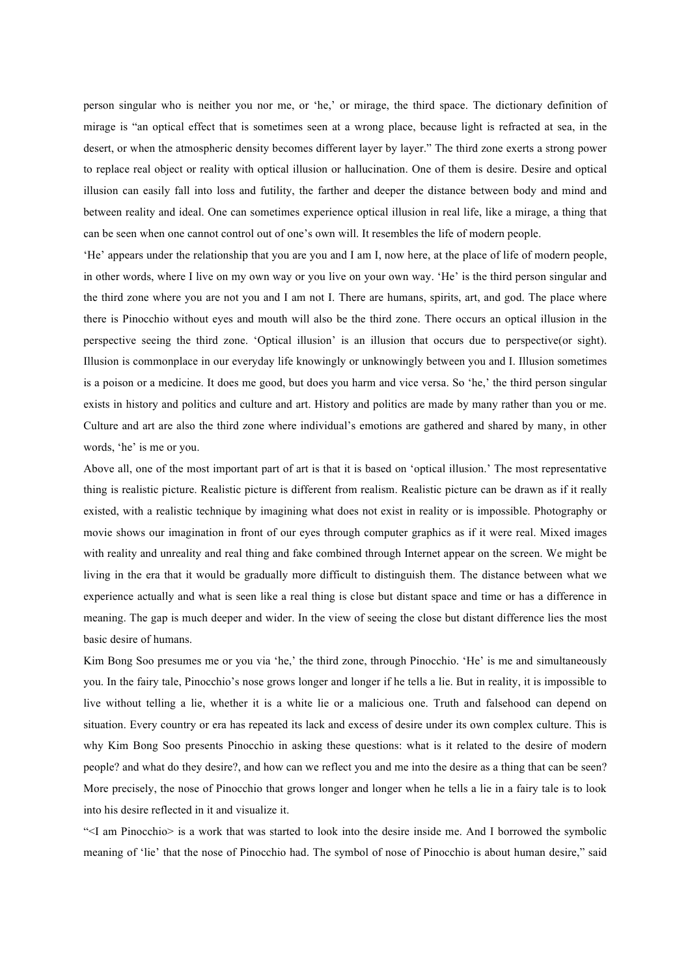person singular who is neither you nor me, or 'he,' or mirage, the third space. The dictionary definition of mirage is "an optical effect that is sometimes seen at a wrong place, because light is refracted at sea, in the desert, or when the atmospheric density becomes different layer by layer." The third zone exerts a strong power to replace real object or reality with optical illusion or hallucination. One of them is desire. Desire and optical illusion can easily fall into loss and futility, the farther and deeper the distance between body and mind and between reality and ideal. One can sometimes experience optical illusion in real life, like a mirage, a thing that can be seen when one cannot control out of one's own will. It resembles the life of modern people.

'He' appears under the relationship that you are you and I am I, now here, at the place of life of modern people, in other words, where I live on my own way or you live on your own way. 'He' is the third person singular and the third zone where you are not you and I am not I. There are humans, spirits, art, and god. The place where there is Pinocchio without eyes and mouth will also be the third zone. There occurs an optical illusion in the perspective seeing the third zone. 'Optical illusion' is an illusion that occurs due to perspective(or sight). Illusion is commonplace in our everyday life knowingly or unknowingly between you and I. Illusion sometimes is a poison or a medicine. It does me good, but does you harm and vice versa. So 'he,' the third person singular exists in history and politics and culture and art. History and politics are made by many rather than you or me. Culture and art are also the third zone where individual's emotions are gathered and shared by many, in other words, 'he' is me or you.

Above all, one of the most important part of art is that it is based on 'optical illusion.' The most representative thing is realistic picture. Realistic picture is different from realism. Realistic picture can be drawn as if it really existed, with a realistic technique by imagining what does not exist in reality or is impossible. Photography or movie shows our imagination in front of our eyes through computer graphics as if it were real. Mixed images with reality and unreality and real thing and fake combined through Internet appear on the screen. We might be living in the era that it would be gradually more difficult to distinguish them. The distance between what we experience actually and what is seen like a real thing is close but distant space and time or has a difference in meaning. The gap is much deeper and wider. In the view of seeing the close but distant difference lies the most basic desire of humans.

Kim Bong Soo presumes me or you via 'he,' the third zone, through Pinocchio. 'He' is me and simultaneously you. In the fairy tale, Pinocchio's nose grows longer and longer if he tells a lie. But in reality, it is impossible to live without telling a lie, whether it is a white lie or a malicious one. Truth and falsehood can depend on situation. Every country or era has repeated its lack and excess of desire under its own complex culture. This is why Kim Bong Soo presents Pinocchio in asking these questions: what is it related to the desire of modern people? and what do they desire?, and how can we reflect you and me into the desire as a thing that can be seen? More precisely, the nose of Pinocchio that grows longer and longer when he tells a lie in a fairy tale is to look into his desire reflected in it and visualize it.

"<I am Pinocchio> is a work that was started to look into the desire inside me. And I borrowed the symbolic meaning of 'lie' that the nose of Pinocchio had. The symbol of nose of Pinocchio is about human desire," said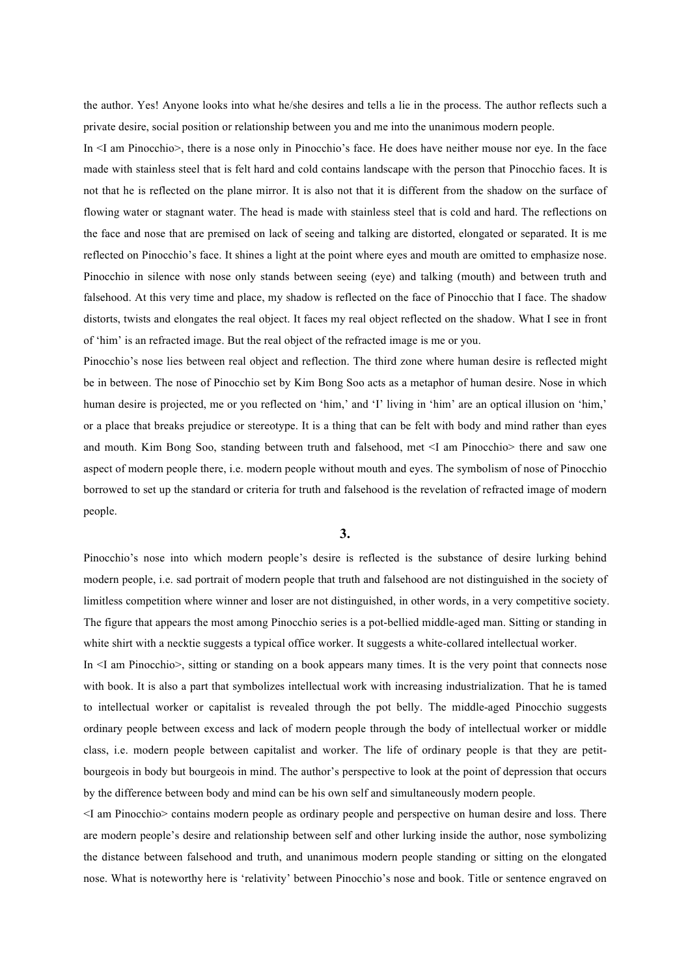the author. Yes! Anyone looks into what he/she desires and tells a lie in the process. The author reflects such a private desire, social position or relationship between you and me into the unanimous modern people.

In <I am Pinocchio>, there is a nose only in Pinocchio's face. He does have neither mouse nor eye. In the face made with stainless steel that is felt hard and cold contains landscape with the person that Pinocchio faces. It is not that he is reflected on the plane mirror. It is also not that it is different from the shadow on the surface of flowing water or stagnant water. The head is made with stainless steel that is cold and hard. The reflections on the face and nose that are premised on lack of seeing and talking are distorted, elongated or separated. It is me reflected on Pinocchio's face. It shines a light at the point where eyes and mouth are omitted to emphasize nose. Pinocchio in silence with nose only stands between seeing (eye) and talking (mouth) and between truth and falsehood. At this very time and place, my shadow is reflected on the face of Pinocchio that I face. The shadow distorts, twists and elongates the real object. It faces my real object reflected on the shadow. What I see in front of 'him' is an refracted image. But the real object of the refracted image is me or you.

Pinocchio's nose lies between real object and reflection. The third zone where human desire is reflected might be in between. The nose of Pinocchio set by Kim Bong Soo acts as a metaphor of human desire. Nose in which human desire is projected, me or you reflected on 'him,' and 'I' living in 'him' are an optical illusion on 'him,' or a place that breaks prejudice or stereotype. It is a thing that can be felt with body and mind rather than eyes and mouth. Kim Bong Soo, standing between truth and falsehood, met <I am Pinocchio> there and saw one aspect of modern people there, i.e. modern people without mouth and eyes. The symbolism of nose of Pinocchio borrowed to set up the standard or criteria for truth and falsehood is the revelation of refracted image of modern people.

**3.**

Pinocchio's nose into which modern people's desire is reflected is the substance of desire lurking behind modern people, i.e. sad portrait of modern people that truth and falsehood are not distinguished in the society of limitless competition where winner and loser are not distinguished, in other words, in a very competitive society. The figure that appears the most among Pinocchio series is a pot-bellied middle-aged man. Sitting or standing in white shirt with a necktie suggests a typical office worker. It suggests a white-collared intellectual worker.

In <I am Pinocchio>, sitting or standing on a book appears many times. It is the very point that connects nose with book. It is also a part that symbolizes intellectual work with increasing industrialization. That he is tamed to intellectual worker or capitalist is revealed through the pot belly. The middle-aged Pinocchio suggests ordinary people between excess and lack of modern people through the body of intellectual worker or middle class, i.e. modern people between capitalist and worker. The life of ordinary people is that they are petitbourgeois in body but bourgeois in mind. The author's perspective to look at the point of depression that occurs by the difference between body and mind can be his own self and simultaneously modern people.

<I am Pinocchio> contains modern people as ordinary people and perspective on human desire and loss. There are modern people's desire and relationship between self and other lurking inside the author, nose symbolizing the distance between falsehood and truth, and unanimous modern people standing or sitting on the elongated nose. What is noteworthy here is 'relativity' between Pinocchio's nose and book. Title or sentence engraved on